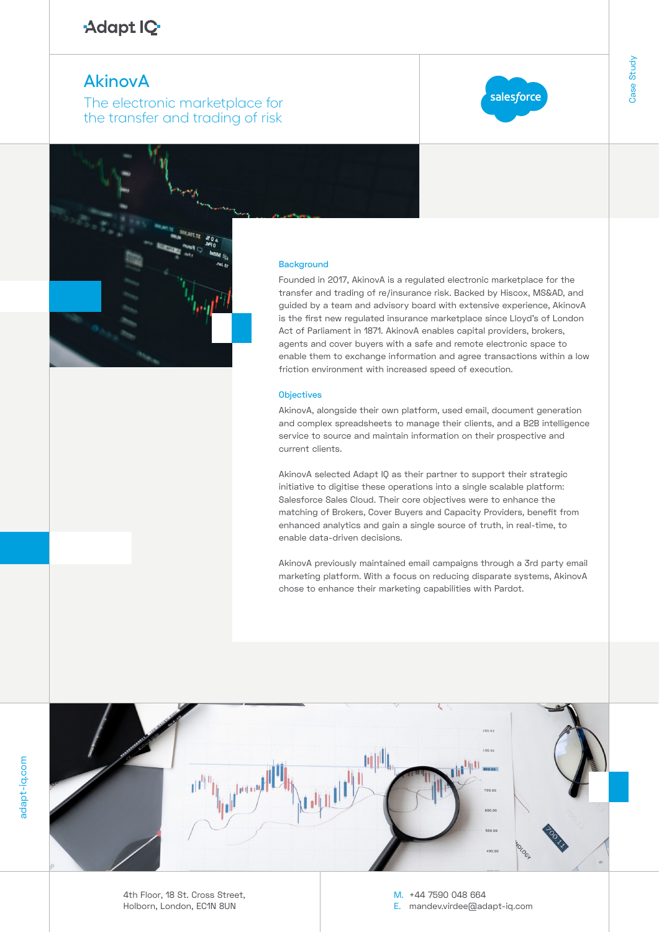# Adapt IQ

# **AkinovA**

The electronic marketplace for the transfer and trading of risk



Case Study

Case Study

## **Background**

Ce<br>D<br>C Founded in 2017, AkinovA is a regulated electronic marketplace for the transfer and trading of re/insurance risk. Backed by Hiscox, MS&AD, and guided by a team and advisory board with extensive experience, AkinovA is the first new regulated insurance marketplace since Lloyd's of London Act of Parliament in 1871. AkinovA enables capital providers, brokers, agents and cover buyers with a safe and remote electronic space to enable them to exchange information and agree transactions within a low friction environment with increased speed of execution.

### **Objectives**

AkinovA, alongside their own platform, used email, document generation and complex spreadsheets to manage their clients, and a B2B intelligence service to source and maintain information on their prospective and current clients.

AkinovA selected Adapt IQ as their partner to support their strategic initiative to digitise these operations into a single scalable platform: Salesforce Sales Cloud. Their core objectives were to enhance the matching of Brokers, Cover Buyers and Capacity Providers, benefit from enhanced analytics and gain a single source of truth, in real-time, to enable data-driven decisions.

AkinovA previously maintained email campaigns through a 3rd party email marketing platform. With a focus on reducing disparate systems, AkinovA chose to enhance their marketing capabilities with Pardot.



4th Floor, 18 St. Cross Street, Holborn, London, EC1N 8UN

M. +44 7590 048 664

E. mandev.virdee@adapt-iq.com